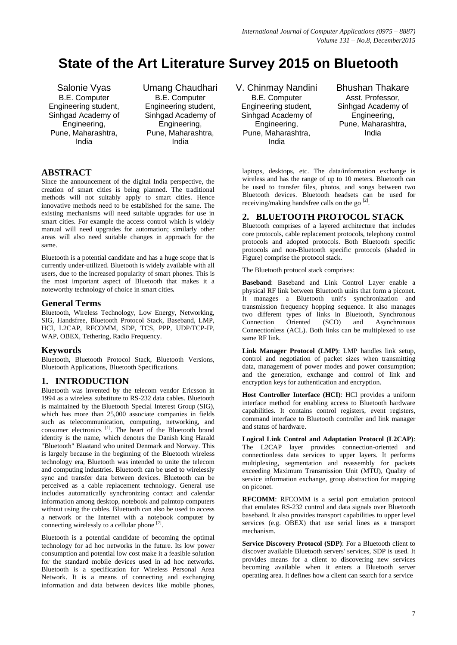# **State of the Art Literature Survey 2015 on Bluetooth**

Salonie Vyas B.E. Computer Engineering student, Sinhgad Academy of Engineering, Pune, Maharashtra, India

Umang Chaudhari B.E. Computer Engineering student, Sinhgad Academy of Engineering, Pune, Maharashtra, India

#### **ABSTRACT**

Since the announcement of the digital India perspective, the creation of smart cities is being planned. The traditional methods will not suitably apply to smart cities. Hence innovative methods need to be established for the same. The existing mechanisms will need suitable upgrades for use in smart cities. For example the access control which is widely manual will need upgrades for automation; similarly other areas will also need suitable changes in approach for the same.

Bluetooth is a potential candidate and has a huge scope that is currently under-utilized. Bluetooth is widely available with all users, due to the increased popularity of smart phones. This is the most important aspect of Bluetooth that makes it a noteworthy technology of choice in smart cities*.*

#### **General Terms**

Bluetooth, Wireless Technology, Low Energy, Networking, SIG, Handsfree, Bluetooth Protocol Stack, Baseband, LMP, HCI, L2CAP, RFCOMM, SDP, TCS, PPP, UDP/TCP-IP, WAP, OBEX, Tethering, Radio Frequency.

#### **Keywords**

Bluetooth, Bluetooth Protocol Stack, Bluetooth Versions, Bluetooth Applications, Bluetooth Specifications.

#### **1. INTRODUCTION**

Bluetooth was invented by the telecom vendor Ericsson in 1994 as a wireless substitute to [RS-232](https://en.wikipedia.org/wiki/RS-232) data cables. Bluetooth is maintained by the [Bluetooth Special Interest Group](https://en.wikipedia.org/wiki/Bluetooth_Special_Interest_Group) (SIG), which has more than 25,000 associate companies in fields such as telecommunication, computing, networking, and consumer electronics<sup>[1]</sup>. The heart of the Bluetooth brand identity is the name, which denotes the Danish king Harald "Bluetooth" Blaatand who united Denmark and Norway. This is largely because in the beginning of the Bluetooth wireless technology era, Bluetooth was intended to unite the telecom and computing industries. Bluetooth can be used to wirelessly sync and transfer data between devices. Bluetooth can be perceived as a cable replacement technology. General use includes automatically synchronizing contact and calendar information among desktop, notebook and palmtop computers without using the cables. Bluetooth can also be used to access a network or the Internet with a notebook computer by connecting wirelessly to a cellular phone  $[2]$ .

Bluetooth is a potential candidate of becoming the optimal technology for ad hoc networks in the future. Its low power consumption and potential low cost make it a feasible solution for the standard mobile devices used in ad hoc networks. Bluetooth is a specification for Wireless Personal Area Network. It is a means of connecting and exchanging information and data between devices like mobile phones,

V. Chinmay Nandini B.E. Computer Engineering student, Sinhgad Academy of Engineering, Pune, Maharashtra, India

Bhushan Thakare Asst. Professor, Sinhgad Academy of Engineering, Pune, Maharashtra, India

laptops, desktops, etc. The data/information exchange is wireless and has the range of up to 10 meters. Bluetooth can be used to transfer files, photos, and songs between two Bluetooth devices. Bluetooth headsets can be used for receiving/making handsfree calls on the go<sup>[2]</sup>.

#### **2. BLUETOOTH PROTOCOL STACK**

Bluetooth comprises of a layered architecture that includes core protocols, cable replacement protocols, telephony control protocols and adopted protocols. Both Bluetooth specific protocols and non-Bluetooth specific protocols (shaded in Figure) comprise the protocol stack.

The Bluetooth protocol stack comprises:

**Baseband**: Baseband and Link Control Layer enable a physical RF link between Bluetooth units that form a piconet. It manages a Bluetooth unit's synchronization and transmission frequency hopping sequence. It also manages two different types of links in Bluetooth, Synchronous Connection Oriented (SCO) and Asynchronous Connectionless (ACL). Both links can be multiplexed to use same RF link.

**Link Manager Protocol (LMP)**: LMP handles link setup, control and negotiation of packet sizes when transmitting data, management of power modes and power consumption; and the generation, exchange and control of link and encryption keys for authentication and encryption.

**Host Controller Interface (HCI)**: HCI provides a uniform interface method for enabling access to Bluetooth hardware capabilities. It contains control registers, event registers, command interface to Bluetooth controller and link manager and status of hardware.

**Logical Link Control and Adaptation Protocol (L2CAP)**: The L2CAP layer provides connection-oriented and connectionless data services to upper layers. It performs multiplexing, segmentation and reassembly for packets exceeding Maximum Transmission Unit (MTU), Quality of service information exchange, group abstraction for mapping on piconet.

**RFCOMM**: RFCOMM is a serial port emulation protocol that emulates RS-232 control and data signals over Bluetooth baseband. It also provides transport capabilities to upper level services (e.g. OBEX) that use serial lines as a transport mechanism.

**Service Discovery Protocol (SDP)**: For a Bluetooth client to discover available Bluetooth servers' services, SDP is used. It provides means for a client to discovering new services becoming available when it enters a Bluetooth server operating area. It defines how a client can search for a service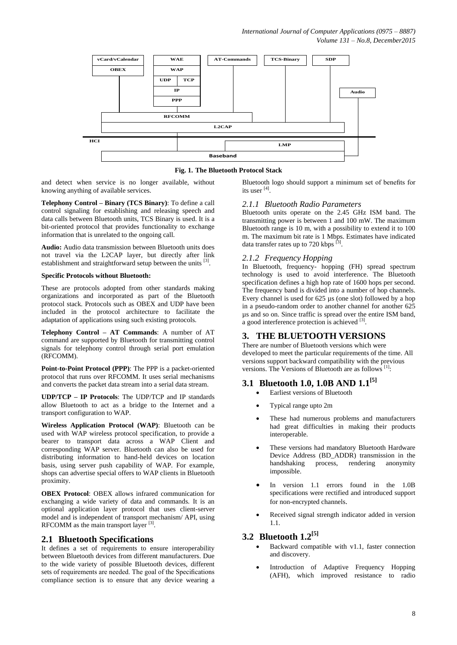

**Fig. 1. The Bluetooth Protocol Stack**

and detect when service is no longer available, without knowing anything of available services.

**Telephony Control – Binary (TCS Binary)**: To define a call control signaling for establishing and releasing speech and data calls between Bluetooth units, TCS Binary is used. It is a bit-oriented protocol that provides functionality to exchange information that is unrelated to the ongoing call.

**Audio:** Audio data transmission between Bluetooth units does not travel via the L2CAP layer, but directly after link establishment and straightforward setup between the units [3].

#### **Specific Protocols without Bluetooth:**

These are protocols adopted from other standards making organizations and incorporated as part of the Bluetooth protocol stack. Protocols such as OBEX and UDP have been included in the protocol architecture to facilitate the adaptation of applications using such existing protocols.

**Telephony Control – AT Commands**: A number of AT command are supported by Bluetooth for transmitting control signals for telephony control through serial port emulation (RFCOMM).

**Point-to-Point Protocol (PPP)**: The PPP is a packet-oriented protocol that runs over RFCOMM. It uses serial mechanisms and converts the packet data stream into a serial data stream.

**UDP/TCP – IP Protocols**: The UDP/TCP and IP standards allow Bluetooth to act as a bridge to the Internet and a transport configuration to WAP.

**Wireless Application Protocol (WAP)**: Bluetooth can be used with WAP wireless protocol specification, to provide a bearer to transport data across a WAP Client and corresponding WAP server. Bluetooth can also be used for distributing information to hand-held devices on location basis, using server push capability of WAP. For example, shops can advertise special offers to WAP clients in Bluetooth proximity.

**OBEX Protocol**: OBEX allows infrared communication for exchanging a wide variety of data and commands. It is an optional application layer protocol that uses client-server model and is independent of transport mechanism/ API, using RFCOMM as the main transport layer [3].

#### **2.1 Bluetooth Specifications**

It defines a set of requirements to ensure interoperability between Bluetooth devices from different manufacturers. Due to the wide variety of possible Bluetooth devices, different sets of requirements are needed. The goal of the Specifications compliance section is to ensure that any device wearing a

Bluetooth logo should support a minimum set of benefits for its user [4] .

#### *2.1.1 Bluetooth Radio Parameters*

Bluetooth units operate on the 2.45 GHz ISM band. The transmitting power is between 1 and 100 mW. The maximum Bluetooth range is 10 m, with a possibility to extend it to 100 m. The maximum bit rate is 1 Mbps. Estimates have indicated data transfer rates up to 720 kbps <sup>[3]</sup>.

#### *2.1.2 Frequency Hopping*

In Bluetooth, frequency- hopping (FH) spread spectrum technology is used to avoid interference. The Bluetooth specification defines a high hop rate of 1600 hops per second. The frequency band is divided into a number of hop channels. Every channel is used for 625 µs (one slot) followed by a hop in a pseudo-random order to another channel for another 625 µs and so on. Since traffic is spread over the entire ISM band, a good interference protection is achieved  $^{[3]}$ .

### **3. THE BLUETOOTH VERSIONS**

There are number of Bluetooth versions which were developed to meet the particular requirements of the time. All versions support backward compatibility with the previous versions. The Versions of Bluetooth are as follows [1]:

## **3.1 Bluetooth 1.0, 1.0B AND 1.1 [5]**

- Earliest versions of Bluetooth
- Typical range upto 2m
- These had numerous problems and manufacturers had great difficulties in making their products interoperable.
- These versions had mandatory Bluetooth Hardware Device Address (BD\_ADDR) transmission in the handshaking process, rendering anonymity impossible.
- In version 1.1 errors found in the 1.0B specifications were rectified and introduced support for non-encrypted channels.
- Received signal strength indicator added in version 1.1.

#### **3.2 Bluetooth 1.2[5]**

- Backward compatible with v1.1, faster connection and discovery.
- Introduction of Adaptive Frequency Hopping (AFH), which improved resistance to radio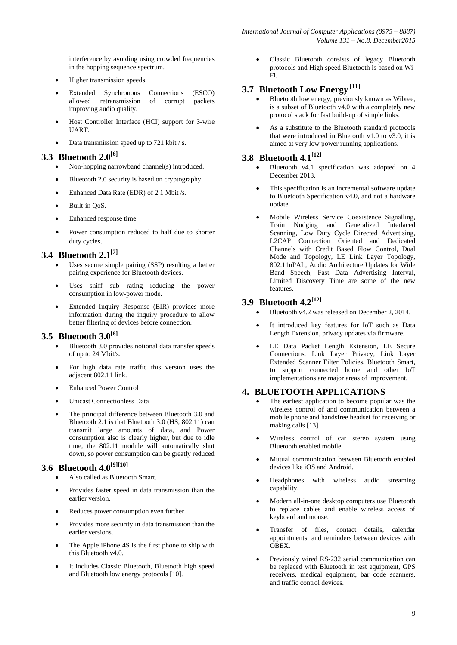interference by avoiding using crowded frequencies in the hopping sequence spectrum.

- Higher transmission speeds.
- Extended Synchronous Connections (ESCO) allowed retransmission of corrupt packets improving audio quality.
- Host Controller Interface (HCI) support for 3-wire UART.
- Data transmission speed up to 721 kbit / s.

## **3.3 Bluetooth 2.0[6]**

- Non-hopping narrowband channel(s) introduced.
- Bluetooth 2.0 security is based on cryptography.
- Enhanced Data Rate (EDR) of 2.1 Mbit /s.
- Built-in QoS.
- Enhanced response time.
- Power consumption reduced to half due to shorter duty cycles.

## **3.4 Bluetooth 2.1[7]**

- Uses secure simple pairing (SSP) resulting a better pairing experience for Bluetooth devices.
- Uses sniff sub rating reducing the power consumption in low-power mode.
- Extended Inquiry Response (EIR) provides more information during the inquiry procedure to allow better filtering of devices before connection.

### **3.5 Bluetooth 3.0[8]**

- Bluetooth 3.0 provides notional data transfer speeds of up to 24 Mbit/s.
- For high data rate traffic this version uses the adjacent 802.11 link.
- Enhanced Power Control
- Unicast Connectionless Data
- The principal difference between Bluetooth 3.0 and Bluetooth 2.1 is that Bluetooth 3.0 (HS, 802.11) can transmit large amounts of data, and Power consumption also is clearly higher, but due to idle time, the 802.11 module will automatically shut down, so power consumption can be greatly reduced

# **3.6 Bluetooth 4.0[9][10]**

- Also called as Bluetooth Smart.
- Provides faster speed in data transmission than the earlier version.
- Reduces power consumption even further.
- Provides more security in data transmission than the earlier versions.
- The Apple iPhone 4S is the first phone to ship with this Bluetooth v4.0.
- It includes Classic Bluetooth, Bluetooth high speed and Bluetooth low energy protocols [10].

 Classic Bluetooth consists of legacy Bluetooth protocols and High speed Bluetooth is based on Wi-Fi.

## **3.7 Bluetooth Low Energy [11]**

- Bluetooth low energy, previously known as Wibree, is a subset of Bluetooth v4.0 with a completely new protocol stack for fast build-up of simple links.
- As a substitute to the Bluetooth standard protocols that were introduced in Bluetooth v1.0 to v3.0, it is aimed at very low power running applications.

## **3.8 Bluetooth 4.1[12]**

- Bluetooth v4.1 specification was adopted on 4 December 2013.
- This specification is an incremental software update to Bluetooth Specification v4.0, and not a hardware update.
- Mobile Wireless Service Coexistence Signalling, Train Nudging and Generalized Interlaced Scanning, Low Duty Cycle Directed Advertising, L2CAP Connection Oriented and Dedicated Channels with Credit Based Flow Control, Dual Mode and Topology, LE Link Layer Topology, 802.11nPAL, Audio Architecture Updates for Wide Band Speech, Fast Data Advertising Interval, Limited Discovery Time are some of the new features.

#### **3.9 Bluetooth 4.2[12]**

- Bluetooth v4.2 was released on December 2, 2014.
- It introduced key features for IoT such as Data Length Extension, privacy updates via firmware.
- LE Data Packet Length Extension, LE Secure Connections, Link Layer Privacy, Link Layer Extended Scanner Filter Policies, Bluetooth Smart, to support connected home and other IoT implementations are major areas of improvement.

#### **4. BLUETOOTH APPLICATIONS**

- The earliest application to become popular was the wireless control of and communication between a mobile phone and handsfree headset for receiving or making calls [13].
- Wireless control of car stereo system using Bluetooth enabled mobile.
- Mutual communication between Bluetooth enabled devices like iOS and Android.
- Headphones with wireless audio streaming capability.
- Modern all-in-one desktop computers use Bluetooth to replace cables and enable wireless access of keyboard and mouse.
- Transfer of files, contact details, calendar appointments, and reminders between devices with [OBEX.](https://en.wikipedia.org/wiki/OBEX)
- Previously wired RS-232 serial communication can be replaced with Bluetooth in test equipment, [GPS](https://en.wikipedia.org/wiki/Global_Positioning_System)  [receivers,](https://en.wikipedia.org/wiki/Global_Positioning_System) medical equipment, bar code scanners, and traffic control devices.